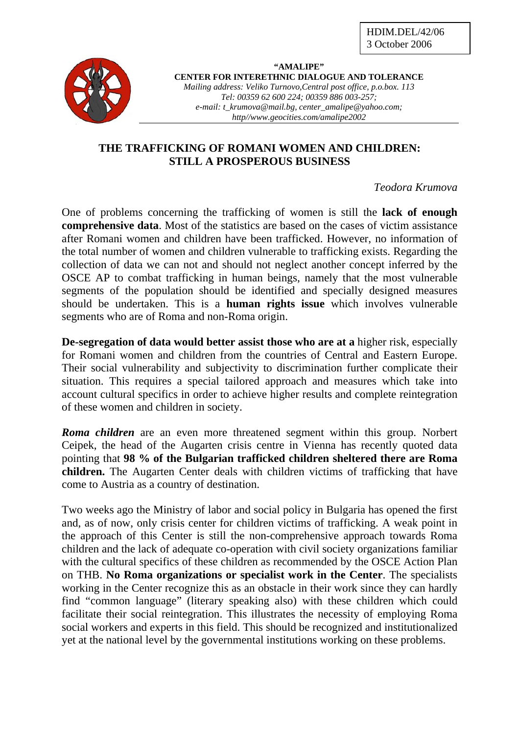

**"AMALIPE" CENTER FOR INTERETHNIC DIALOGUE AND TOLERANCE**  *Mailing address: Veliko Turnovo,Central post office, p.o.box. 113 Tel: 00359 62 600 224; 00359 886 003-257; e-mail: t\_krumova@mail.bg, center\_amalipe@yahoo.com; http//www.geocities.com/amalipe2002* 

## **THE TRAFFICKING OF ROMANI WOMEN AND CHILDREN: STILL A PROSPEROUS BUSINESS**

## *Teodora Krumova*

One of problems concerning the trafficking of women is still the **lack of enough comprehensive data**. Most of the statistics are based on the cases of victim assistance after Romani women and children have been trafficked. However, no information of the total number of women and children vulnerable to trafficking exists. Regarding the collection of data we can not and should not neglect another concept inferred by the OSCE AP to combat trafficking in human beings, namely that the most vulnerable segments of the population should be identified and specially designed measures should be undertaken. This is a **human rights issue** which involves vulnerable segments who are of Roma and non-Roma origin.

**De-segregation of data would better assist those who are at a** higher risk, especially for Romani women and children from the countries of Central and Eastern Europe. Their social vulnerability and subjectivity to discrimination further complicate their situation. This requires a special tailored approach and measures which take into account cultural specifics in order to achieve higher results and complete reintegration of these women and children in society.

*Roma children* are an even more threatened segment within this group. Norbert Ceipek, the head of the Augarten crisis centre in Vienna has recently quoted data pointing that **98 % of the Bulgarian trafficked children sheltered there are Roma children.** The Augarten Center deals with children victims of trafficking that have come to Austria as a country of destination.

Two weeks ago the Ministry of labor and social policy in Bulgaria has opened the first and, as of now, only crisis center for children victims of trafficking. A weak point in the approach of this Center is still the non-comprehensive approach towards Roma children and the lack of adequate co-operation with civil society organizations familiar with the cultural specifics of these children as recommended by the OSCE Action Plan on THB. **No Roma organizations or specialist work in the Center**. The specialists working in the Center recognize this as an obstacle in their work since they can hardly find "common language" (literary speaking also) with these children which could facilitate their social reintegration. This illustrates the necessity of employing Roma social workers and experts in this field. This should be recognized and institutionalized yet at the national level by the governmental institutions working on these problems.